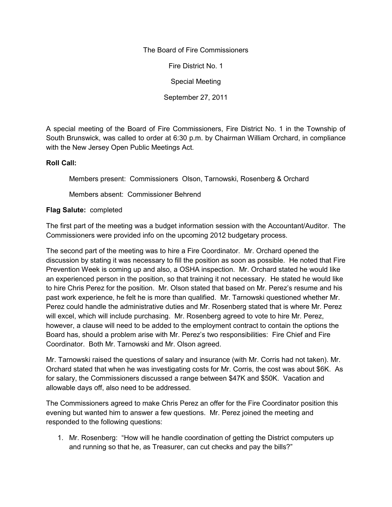The Board of Fire Commissioners

Fire District No. 1

Special Meeting

September 27, 2011

A special meeting of the Board of Fire Commissioners, Fire District No. 1 in the Township of South Brunswick, was called to order at 6:30 p.m. by Chairman William Orchard, in compliance with the New Jersey Open Public Meetings Act.

## **Roll Call:**

Members present: Commissioners Olson, Tarnowski, Rosenberg & Orchard

Members absent: Commissioner Behrend

## **Flag Salute:** completed

The first part of the meeting was a budget information session with the Accountant/Auditor. The Commissioners were provided info on the upcoming 2012 budgetary process.

The second part of the meeting was to hire a Fire Coordinator. Mr. Orchard opened the discussion by stating it was necessary to fill the position as soon as possible. He noted that Fire Prevention Week is coming up and also, a OSHA inspection. Mr. Orchard stated he would like an experienced person in the position, so that training it not necessary. He stated he would like to hire Chris Perez for the position. Mr. Olson stated that based on Mr. Perez's resume and his past work experience, he felt he is more than qualified. Mr. Tarnowski questioned whether Mr. Perez could handle the administrative duties and Mr. Rosenberg stated that is where Mr. Perez will excel, which will include purchasing. Mr. Rosenberg agreed to vote to hire Mr. Perez, however, a clause will need to be added to the employment contract to contain the options the Board has, should a problem arise with Mr. Perez's two responsibilities: Fire Chief and Fire Coordinator. Both Mr. Tarnowski and Mr. Olson agreed.

Mr. Tarnowski raised the questions of salary and insurance (with Mr. Corris had not taken). Mr. Orchard stated that when he was investigating costs for Mr. Corris, the cost was about \$6K. As for salary, the Commissioners discussed a range between \$47K and \$50K. Vacation and allowable days off, also need to be addressed.

The Commissioners agreed to make Chris Perez an offer for the Fire Coordinator position this evening but wanted him to answer a few questions. Mr. Perez joined the meeting and responded to the following questions:

1. Mr. Rosenberg: "How will he handle coordination of getting the District computers up and running so that he, as Treasurer, can cut checks and pay the bills?"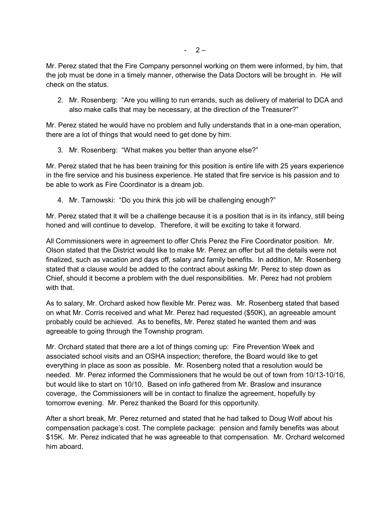Mr. Perez stated that the Fire Company personnel working on them were informed, by him, that the job must be done in a timely manner, otherwise the Data Doctors will be brought in. He will check on the status.

2. Mr. Rosenberg: "Are you willing to run errands, such as delivery of material to DCA and also make calls that may be necessary, at the direction of the Treasurer?"

Mr. Perez stated he would have no problem and fully understands that in a one-man operation, there are a lot of things that would need to get done by him.

3. Mr. Rosenberg: "What makes you better than anyone else?"

Mr. Perez stated that he has been training for this position is entire life with 25 years experience in the fire service and his business experience. He stated that fire service is his passion and to be able to work as Fire Coordinator is a dream job.

4. Mr. Tarnowski: "Do you think this job will be challenging enough?"

Mr. Perez stated that it will be a challenge because it is a position that is in its infancy, still being honed and will continue to develop. Therefore, it will be exciting to take it forward.

All Commissioners were in agreement to offer Chris Perez the Fire Coordinator position. Mr. Olson stated that the District would like to make Mr. Perez an offer but all the details were not finalized, such as vacation and days off, salary and family benefits. In addition, Mr. Rosenberg stated that a clause would be added to the contract about asking Mr. Perez to step down as Chief, should it become a problem with the duel responsibilities. Mr. Perez had not problem with that.

As to salary, Mr. Orchard asked how flexible Mr. Perez was. Mr. Rosenberg stated that based on what Mr. Corris received and what Mr. Perez had requested (\$50K), an agreeable amount probably could be achieved. As to benefits, Mr. Perez stated he wanted them and was agreeable to going through the Township program.

Mr. Orchard stated that there are a lot of things coming up: Fire Prevention Week and associated school visits and an OSHA inspection; therefore, the Board would like to get everything in place as soon as possible. Mr. Rosenberg noted that a resolution would be needed. Mr. Perez informed the Commissioners that he would be out of town from 10/13-10/16, but would like to start on 10/10. Based on info gathered from Mr. Braslow and insurance coverage, the Commissioners will be in contact to finalize the agreement, hopefully by tomorrow evening. Mr. Perez thanked the Board for this opportunity.

After a short break, Mr. Perez returned and stated that he had talked to Doug Wolf about his compensation package's cost. The complete package: pension and family benefits was about \$15K. Mr. Perez indicated that he was agreeable to that compensation. Mr. Orchard welcomed him aboard.